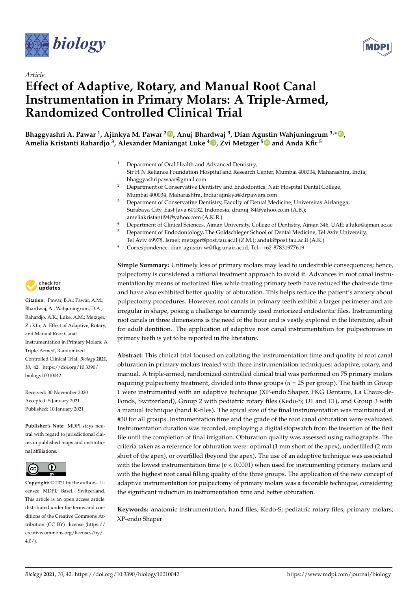



# *Article* **Effect of Adaptive, Rotary, and Manual Root Canal Instrumentation in Primary Molars: A Triple-Armed, Randomized Controlled Clinical Trial**

**Bhaggyashri A. Pawar <sup>1</sup> , Ajinkya M. Pawar <sup>2</sup> , Anuj Bhardwaj <sup>3</sup> , Dian Agustin Wahjuningrum 3,\* , Amelia Kristanti Rahardjo <sup>3</sup> , Alexander Maniangat Luke <sup>4</sup> , Zvi Metzger <sup>5</sup> and Anda Kfir <sup>5</sup>**

- <sup>1</sup> Department of Oral Health and Advanced Dentistry, Sir H N Reliance Foundation Hospital and Research Center, Mumbai 400004, Maharashtra, India; bhaggyashripawaar@gmail.com
- <sup>2</sup> Department of Conservative Dentistry and Endodontics, Nair Hospital Dental College, Mumbai 400034, Maharashtra, India; ajinkya@drpawars.com
- <sup>3</sup> Department of Conservative Dentistry, Faculty of Dental Medicine, Universitas Airlangga, Surabaya City, East Java 60132, Indonesia; dranuj\_84@yahoo.co.in (A.B.); ameliakristanti94@yahoo.com (A.K.R.)
- <sup>4</sup> Department of Clinical Sciences, Ajman University, College of Dentistry, Ajman 346, UAE; a.luke@ajman.ac.ae
- <sup>5</sup> Department of Endodontology, The Goldschleger School of Dental Medicine, Tel Aviv University,
- Tel Aviv 69978, Israel; metzger@post.tau.ac.il (Z.M.); andak@post.tau.ac.il (A.K.)
- **\*** Correspondence: dian-agustin-w@fkg.unair.ac.id; Tel.: +62-87831977619

**Simple Summary:** Untimely loss of primary molars may lead to undesirable consequences; hence, pulpectomy is considered a rational treatment approach to avoid it. Advances in root canal instrumentation by means of motorized files while treating primary teeth have reduced the chair-side time and have also exhibited better quality of obturation. This helps reduce the patient's anxiety about pulpectomy procedures. However, root canals in primary teeth exhibit a larger perimeter and are irregular in shape, posing a challenge to currently used motorized endodontic files. Instrumenting root canals in three dimensions is the need of the hour and is vastly explored in the literature, albeit for adult dentition. The application of adaptive root canal instrumentation for pulpectomies in primary teeth is yet to be reported in the literature.

**Abstract:** This clinical trial focused on collating the instrumentation time and quality of root canal obturation in primary molars treated with three instrumentation techniques: adaptive, rotary, and manual. A triple-armed, randomized controlled clinical trial was performed on 75 primary molars requiring pulpectomy treatment, divided into three groups (*n* = 25 per group). The teeth in Group 1 were instrumented with an adaptive technique (XP-endo Shaper, FKG Dentaire, La Chaux-de-Fonds, Switzerland), Group 2 with pediatric rotary files (Kedo-S; D1 and E1), and Group 3 with a manual technique (hand K-files). The apical size of the final instrumentation was maintained at #30 for all groups. Instrumentation time and the grade of the root canal obturation were evaluated. Instrumentation duration was recorded, employing a digital stopwatch from the insertion of the first file until the completion of final irrigation. Obturation quality was assessed using radiographs. The criteria taken as a reference for obturation were: optimal (1 mm short of the apex), underfilled (2 mm short of the apex), or overfilled (beyond the apex). The use of an adaptive technique was associated with the lowest instrumentation time  $(p < 0.0001)$  when used for instrumenting primary molars and with the highest root canal filling quality of the three groups. The application of the new concept of adaptive instrumentation for pulpectomy of primary molars was a favorable technique, considering the significant reduction in instrumentation time and better obturation.

**Keywords:** anatomic instrumentation; hand files; Kedo-S; pediatric rotary files; primary molars; XP-endo Shaper



**Citation:** Pawar, B.A.; Pawar, A.M.; Bhardwaj, A.; Wahjuningrum, D.A.; Rahardjo, A.K.; Luke, A.M.; Metzger, Z.; Kfir, A. Effect of Adaptive, Rotary, and Manual Root Canal Instrumentation in Primary Molars: A Triple-Armed, Randomized Controlled Clinical Trial. *Biology* **2021**, *10*, 42. https://doi.org/10.3390/ biology10010042

Received: 30 November 2020 Accepted: 5 January 2021 Published: 10 January 2021

**Publisher's Note:** MDPI stays neutral with regard to jurisdictional claims in published maps and institutional affiliations.



**Copyright:** © 2021 by the authors. Licensee MDPI, Basel, Switzerland. This article is an open access article distributed under the terms and conditions of the Creative Commons Attribution (CC BY) license (https:// creativecommons.org/licenses/by/  $4.0/$ ).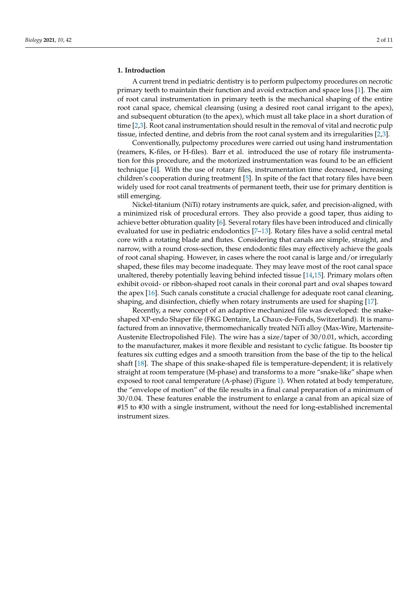#### **1. Introduction**

A current trend in pediatric dentistry is to perform pulpectomy procedures on necrotic primary teeth to maintain their function and avoid extraction and space loss [1]. The aim of root canal instrumentation in primary teeth is the mechanical shaping of the entire root canal space, chemical cleansing (using a desired root canal irrigant to the apex), and subsequent obturation (to the apex), which must all take place in a short duration of time [2,3]. Root canal instrumentation should result in the removal of vital and necrotic pulp tissue, infected dentine, and debris from the root canal system and its irregularities [2,3].

Conventionally, pulpectomy procedures were carried out using hand instrumentation (reamers, K-files, or H-files). Barr et al. introduced the use of rotary file instrumentation for this procedure, and the motorized instrumentation was found to be an efficient technique [4]. With the use of rotary files, instrumentation time decreased, increasing children's cooperation during treatment [5]. In spite of the fact that rotary files have been widely used for root canal treatments of permanent teeth, their use for primary dentition is still emerging.

Nickel-titanium (NiTi) rotary instruments are quick, safer, and precision-aligned, with a minimized risk of procedural errors. They also provide a good taper, thus aiding to achieve better obturation quality [6]. Several rotary files have been introduced and clinically evaluated for use in pediatric endodontics [7–13]. Rotary files have a solid central metal core with a rotating blade and flutes. Considering that canals are simple, straight, and narrow, with a round cross-section, these endodontic files may effectively achieve the goals of root canal shaping. However, in cases where the root canal is large and/or irregularly shaped, these files may become inadequate. They may leave most of the root canal space unaltered, thereby potentially leaving behind infected tissue [14,15]. Primary molars often exhibit ovoid- or ribbon-shaped root canals in their coronal part and oval shapes toward the apex [16]. Such canals constitute a crucial challenge for adequate root canal cleaning, shaping, and disinfection, chiefly when rotary instruments are used for shaping [17].

Recently, a new concept of an adaptive mechanized file was developed: the snakeshaped XP-endo Shaper file (FKG Dentaire, La Chaux-de-Fonds, Switzerland). It is manufactured from an innovative, thermomechanically treated NiTi alloy (Max-Wire, Martensite-Austenite Electropolished File). The wire has a size/taper of 30/0.01, which, according to the manufacturer, makes it more flexible and resistant to cyclic fatigue. Its booster tip features six cutting edges and a smooth transition from the base of the tip to the helical shaft [18]. The shape of this snake-shaped file is temperature-dependent; it is relatively straight at room temperature (M-phase) and transforms to a more "snake-like" shape when exposed to root canal temperature (A-phase) (Figure 1). When rotated at body temperature, the "envelope of motion" of the file results in a final canal preparation of a minimum of 30/0.04. These features enable the instrument to enlarge a canal from an apical size of #15 to #30 with a single instrument, without the need for long-established incremental instrument sizes.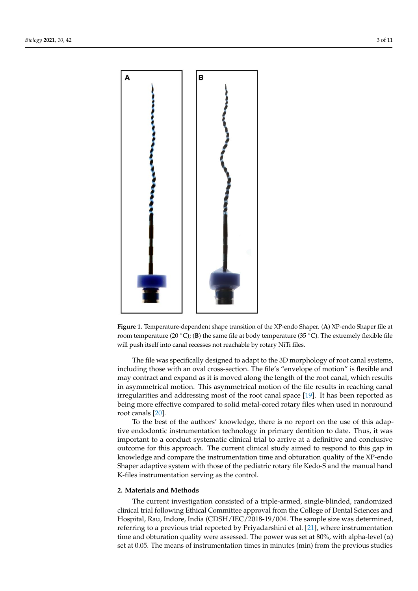

**Figure 1.** Temperature-dependent shape transition of the XP-endo Shaper. (**A**) XP-endo Shaper file at room temperature (20 $\degree$ C); (**B**) the same file at body temperature (35 $\degree$ C). The extremely flexible file will push itself into canal recesses not reachable by rotary NiTi files.

The file was specifically designed to adapt to the 3D morphology of root canal systems, including those with an oval cross-section. The file's "envelope of motion" is flexible and may contract and expand as it is moved along the length of the root canal, which results in asymmetrical motion. This asymmetrical motion of the file results in reaching canal irregularities and addressing most of the root canal space [19]. It has been reported as being more effective compared to solid metal-cored rotary files when used in nonround root canals [20].

To the best of the authors' knowledge, there is no report on the use of this adaptive endodontic instrumentation technology in primary dentition to date. Thus, it was important to a conduct systematic clinical trial to arrive at a definitive and conclusive outcome for this approach. The current clinical study aimed to respond to this gap in knowledge and compare the instrumentation time and obturation quality of the XP-endo Shaper adaptive system with those of the pediatric rotary file Kedo-S and the manual hand K-files instrumentation serving as the control.

# **2. Materials and Methods**

The current investigation consisted of a triple-armed, single-blinded, randomized clinical trial following Ethical Committee approval from the College of Dental Sciences and Hospital, Rau, Indore, India (CDSH/IEC/2018-19/004. The sample size was determined, referring to a previous trial reported by Priyadarshini et al. [21], where instrumentation time and obturation quality were assessed. The power was set at 80%, with alpha-level  $(\alpha)$ set at 0.05. The means of instrumentation times in minutes (min) from the previous studies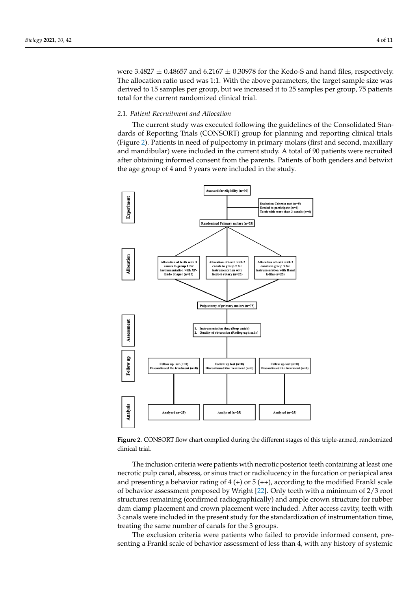were 3.4827  $\pm$  0.48657 and 6.2167  $\pm$  0.30978 for the Kedo-S and hand files, respectively. The allocation ratio used was 1:1. With the above parameters, the target sample size was derived to 15 samples per group, but we increased it to 25 samples per group, 75 patients total for the current randomized clinical trial.

# *2.1. Patient Recruitment and Allocation*

The current study was executed following the guidelines of the Consolidated Standards of Reporting Trials (CONSORT) group for planning and reporting clinical trials (Figure 2). Patients in need of pulpectomy in primary molars (first and second, maxillary and mandibular) were included in the current study. A total of 90 patients were recruited after obtaining informed consent from the parents. Patients of both genders and betwixt the age group of 4 and 9 years were included in the study.



**Figure 2.** CONSORT flow chart complied during the different stages of this triple-armed, randomized clinical trial.

The inclusion criteria were patients with necrotic posterior teeth containing at least one necrotic pulp canal, abscess, or sinus tract or radiolucency in the furcation or periapical area and presenting a behavior rating of  $4 (+)$  or  $5 (+)$ , according to the modified Frankl scale of behavior assessment proposed by Wright [22]. Only teeth with a minimum of 2/3 root structures remaining (confirmed radiographically) and ample crown structure for rubber dam clamp placement and crown placement were included. After access cavity, teeth with 3 canals were included in the present study for the standardization of instrumentation time, treating the same number of canals for the 3 groups.

The exclusion criteria were patients who failed to provide informed consent, presenting a Frankl scale of behavior assessment of less than 4, with any history of systemic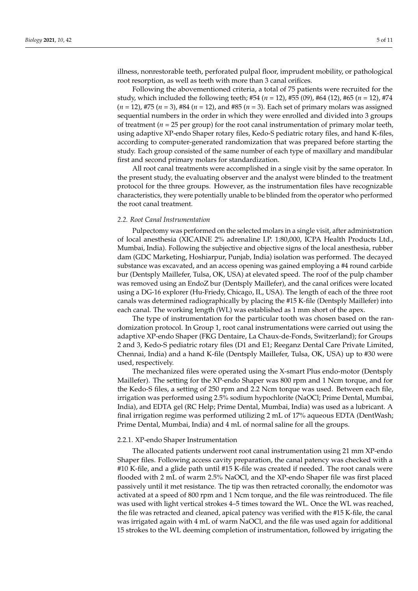illness, nonrestorable teeth, perforated pulpal floor, imprudent mobility, or pathological root resorption, as well as teeth with more than 3 canal orifices.

Following the abovementioned criteria, a total of 75 patients were recruited for the study, which included the following teeth; #54 (*n* = 12), #55 (09), #64 (12), #65 (*n* = 12), #74 (*n* = 12), #75 (*n* = 3), #84 (*n* = 12), and #85 (*n* = 3). Each set of primary molars was assigned sequential numbers in the order in which they were enrolled and divided into 3 groups of treatment (*n =* 25 per group) for the root canal instrumentation of primary molar teeth, using adaptive XP-endo Shaper rotary files, Kedo-S pediatric rotary files, and hand K-files, according to computer-generated randomization that was prepared before starting the study. Each group consisted of the same number of each type of maxillary and mandibular first and second primary molars for standardization.

All root canal treatments were accomplished in a single visit by the same operator. In the present study, the evaluating observer and the analyst were blinded to the treatment protocol for the three groups. However, as the instrumentation files have recognizable characteristics, they were potentially unable to be blinded from the operator who performed the root canal treatment.

# *2.2. Root Canal Instrumentation*

Pulpectomy was performed on the selected molars in a single visit, after administration of local anesthesia (XICAINE 2% adrenaline I.P. 1:80,000, ICPA Health Products Ltd., Mumbai, India). Following the subjective and objective signs of the local anesthesia, rubber dam (GDC Marketing, Hoshiarpur, Punjab, India) isolation was performed. The decayed substance was excavated, and an access opening was gained employing a #4 round carbide bur (Dentsply Maillefer, Tulsa, OK, USA) at elevated speed. The roof of the pulp chamber was removed using an EndoZ bur (Dentsply Maillefer), and the canal orifices were located using a DG-16 explorer (Hu-Friedy, Chicago, IL, USA). The length of each of the three root canals was determined radiographically by placing the #15 K-file (Dentsply Maillefer) into each canal. The working length (WL) was established as 1 mm short of the apex.

The type of instrumentation for the particular tooth was chosen based on the randomization protocol. In Group 1, root canal instrumentations were carried out using the adaptive XP-endo Shaper (FKG Dentaire, La Chaux-de-Fonds, Switzerland); for Groups 2 and 3, Kedo-S pediatric rotary files (D1 and E1; Reeganz Dental Care Private Limited, Chennai, India) and a hand K-file (Dentsply Maillefer, Tulsa, OK, USA) up to #30 were used, respectively.

The mechanized files were operated using the X-smart Plus endo-motor (Dentsply Maillefer). The setting for the XP-endo Shaper was 800 rpm and 1 Ncm torque, and for the Kedo-S files, a setting of 250 rpm and 2.2 Ncm torque was used. Between each file, irrigation was performed using 2.5% sodium hypochlorite (NaOCl; Prime Dental, Mumbai, India), and EDTA gel (RC Help; Prime Dental, Mumbai, India) was used as a lubricant. A final irrigation regime was performed utilizing 2 mL of 17% aqueous EDTA (DentWash; Prime Dental, Mumbai, India) and 4 mL of normal saline for all the groups.

#### 2.2.1. XP-endo Shaper Instrumentation

The allocated patients underwent root canal instrumentation using 21 mm XP-endo Shaper files. Following access cavity preparation, the canal patency was checked with a #10 K-file, and a glide path until #15 K-file was created if needed. The root canals were flooded with 2 mL of warm 2.5% NaOCl, and the XP-endo Shaper file was first placed passively until it met resistance. The tip was then retracted coronally, the endomotor was activated at a speed of 800 rpm and 1 Ncm torque, and the file was reintroduced. The file was used with light vertical strokes 4–5 times toward the WL. Once the WL was reached, the file was retracted and cleaned, apical patency was verified with the #15 K-file, the canal was irrigated again with 4 mL of warm NaOCl, and the file was used again for additional 15 strokes to the WL deeming completion of instrumentation, followed by irrigating the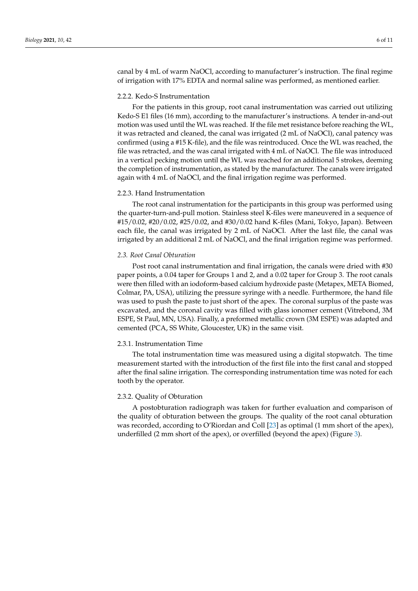canal by 4 mL of warm NaOCl, according to manufacturer's instruction. The final regime of irrigation with 17% EDTA and normal saline was performed, as mentioned earlier.

# 2.2.2. Kedo-S Instrumentation

For the patients in this group, root canal instrumentation was carried out utilizing Kedo-S E1 files (16 mm), according to the manufacturer's instructions. A tender in-and-out motion was used until the WL was reached. If the file met resistance before reaching the WL, it was retracted and cleaned, the canal was irrigated (2 mL of NaOCl), canal patency was confirmed (using a #15 K-file), and the file was reintroduced. Once the WL was reached, the file was retracted, and the was canal irrigated with 4 mL of NaOCl. The file was introduced in a vertical pecking motion until the WL was reached for an additional 5 strokes, deeming the completion of instrumentation, as stated by the manufacturer. The canals were irrigated again with 4 mL of NaOCl, and the final irrigation regime was performed.

# 2.2.3. Hand Instrumentation

The root canal instrumentation for the participants in this group was performed using the quarter-turn-and-pull motion. Stainless steel K-files were maneuvered in a sequence of #15/0.02, #20/0.02, #25/0.02, and #30/0.02 hand K-files (Mani, Tokyo, Japan). Between each file, the canal was irrigated by 2 mL of NaOCl. After the last file, the canal was irrigated by an additional 2 mL of NaOCl, and the final irrigation regime was performed.

## *2.3. Root Canal Obturation*

Post root canal instrumentation and final irrigation, the canals were dried with #30 paper points, a 0.04 taper for Groups 1 and 2, and a 0.02 taper for Group 3. The root canals were then filled with an iodoform-based calcium hydroxide paste (Metapex, META Biomed, Colmar, PA, USA), utilizing the pressure syringe with a needle. Furthermore, the hand file was used to push the paste to just short of the apex. The coronal surplus of the paste was excavated, and the coronal cavity was filled with glass ionomer cement (Vitrebond, 3M ESPE, St Paul, MN, USA). Finally, a preformed metallic crown (3M ESPE) was adapted and cemented (PCA, SS White, Gloucester, UK) in the same visit.

#### 2.3.1. Instrumentation Time

The total instrumentation time was measured using a digital stopwatch. The time measurement started with the introduction of the first file into the first canal and stopped after the final saline irrigation. The corresponding instrumentation time was noted for each tooth by the operator.

#### 2.3.2. Quality of Obturation

A postobturation radiograph was taken for further evaluation and comparison of the quality of obturation between the groups. The quality of the root canal obturation was recorded, according to O'Riordan and Coll [23] as optimal (1 mm short of the apex), underfilled (2 mm short of the apex), or overfilled (beyond the apex) (Figure 3).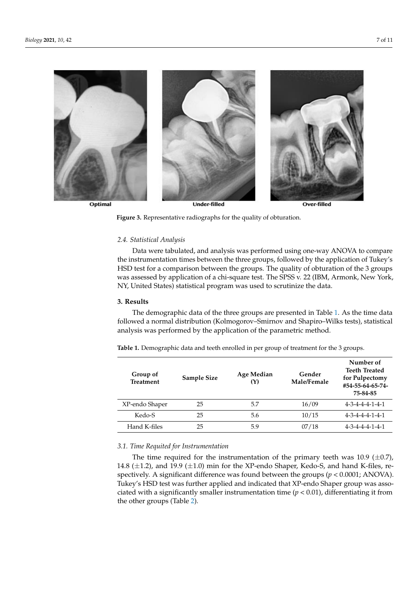

according to  $\mathcal{L}$  as optimal (23) as optimal (23) as optimal (23) as optimal (23) as optimal (23) as optimal (23) as optimal (23) as optimal (23) as optimal (23) as optimal (23) as optimal (23) as optimal (23) as  $\mathcal$ 

**Figure 3.** Representative radiographs for the quality of obturation.

# *2.4. Statistical Analysis*

Data were tabulated, and analysis was performed using one-way ANOVA to compare the instrumentation times between the three groups, followed by the application of Tukey's HSD test for a comparison between the groups. The quality of obturation of the 3 groups was assessed by application of a chi-square test. The SPSS v. 22 (IBM, Armonk, New York, NY, United States) statistical program was used to scrutinize the data.

## **3. Results**

The demographic data of the three groups are presented in Table 1. As the time data followed a normal distribution (Kolmogorov–Smirnov and Shapiro–Wilks tests), statistical analysis was performed by the application of the parametric method.

| Group of<br><b>Treatment</b> | Sample Size | Age Median<br>Y) | Gender<br>Male/Female | Number of<br><b>Teeth Treated</b><br>for Pulpectomy<br>#54-55-64-65-74-<br>75-84-85 |
|------------------------------|-------------|------------------|-----------------------|-------------------------------------------------------------------------------------|
| XP-endo Shaper               | 25          | 5.7              | 16/09                 | $4 - 3 - 4 - 4 - 4 - 1 - 4 - 1$                                                     |
| Kedo-S                       | 25          | 5.6              | 10/15                 | $4 - 3 - 4 - 4 - 4 - 1 - 4 - 1$                                                     |
| Hand K-files                 | 25          | 5.9              | 07/18                 | $4 - 3 - 4 - 4 - 4 - 1 - 4 - 1$                                                     |

**Table 1.** Demographic data and teeth enrolled in per group of treatment for the 3 groups.

# *3.1. Time Requited for Instrumentation*

The time required for the instrumentation of the primary teeth was 10.9  $(\pm 0.7)$ , 14.8  $(\pm 1.2)$ , and 19.9  $(\pm 1.0)$  min for the XP-endo Shaper, Kedo-S, and hand K-files, respectively. A significant difference was found between the groups  $(p < 0.0001; ANOVA)$ . Tukey's HSD test was further applied and indicated that XP-endo Shaper group was associated with a significantly smaller instrumentation time  $(p < 0.01)$ , differentiating it from the other groups (Table 2).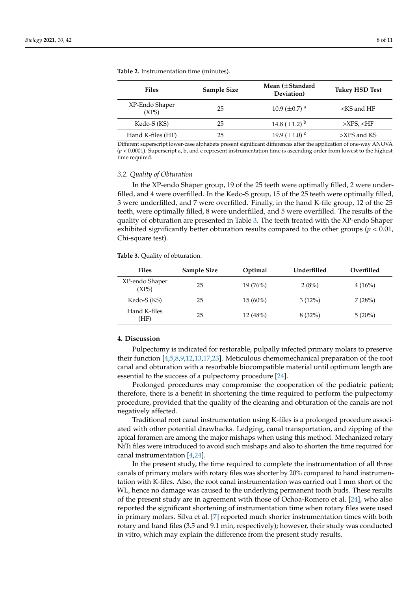| <b>Files</b>            | <b>Sample Size</b> | Mean $(\pm$ Standard<br>Deviation) | <b>Tukey HSD Test</b>   |
|-------------------------|--------------------|------------------------------------|-------------------------|
| XP-Endo Shaper<br>(XPS) | 25                 | 10.9 ( $\pm$ 0.7) <sup>a</sup>     | $\langle$ KS and HF     |
| Kedo-S (KS)             | 25                 | 14.8 $(\pm 1.2)^{b}$               | >XPS, <hf< td=""></hf<> |
| Hand K-files (HF)       | 25                 | 19.9 $(\pm 1.0)$ c                 | $>XPS$ and KS           |

**Table 2.** Instrumentation time (minutes).

Different superscript lower-case alphabets present significant differences after the application of one-way ANOVA (*p* < 0.0001). Superscript a, b, and c represent instrumentation time is ascending order from lowest to the highest time required.

#### *3.2. Quality of Obturation*

In the XP-endo Shaper group, 19 of the 25 teeth were optimally filled, 2 were underfilled, and 4 were overfilled. In the Kedo-S group, 15 of the 25 teeth were optimally filled, 3 were underfilled, and 7 were overfilled. Finally, in the hand K-file group, 12 of the 25 teeth, were optimally filled, 8 were underfilled, and 5 were overfilled. The results of the quality of obturation are presented in Table 3. The teeth treated with the XP-endo Shaper exhibited significantly better obturation results compared to the other groups ( $p < 0.01$ , Chi-square test).

**Table 3.** Quality of obturation.

| <b>Files</b>            | <b>Sample Size</b> | Optimal    | Underfilled | Overfilled |
|-------------------------|--------------------|------------|-------------|------------|
| XP-endo Shaper<br>(XPS) | 25                 | $19(76\%)$ | 2(8%)       | $4(16\%)$  |
| Kedo-S (KS)             | 25                 | $15(60\%)$ | $3(12\%)$   | 7(28%)     |
| Hand K-files<br>(HF)    | 25                 | 12(48%)    | 8(32%)      | $5(20\%)$  |

# **4. Discussion**

Pulpectomy is indicated for restorable, pulpally infected primary molars to preserve their function [4,5,8,9,12,13,17,23]. Meticulous chemomechanical preparation of the root canal and obturation with a resorbable biocompatible material until optimum length are essential to the success of a pulpectomy procedure [24].

Prolonged procedures may compromise the cooperation of the pediatric patient; therefore, there is a benefit in shortening the time required to perform the pulpectomy procedure, provided that the quality of the cleaning and obturation of the canals are not negatively affected.

Traditional root canal instrumentation using K-files is a prolonged procedure associated with other potential drawbacks. Ledging, canal transportation, and zipping of the apical foramen are among the major mishaps when using this method. Mechanized rotary NiTi files were introduced to avoid such mishaps and also to shorten the time required for canal instrumentation [4,24].

In the present study, the time required to complete the instrumentation of all three canals of primary molars with rotary files was shorter by 20% compared to hand instrumentation with K-files. Also, the root canal instrumentation was carried out 1 mm short of the WL, hence no damage was caused to the underlying permanent tooth buds. These results of the present study are in agreement with those of Ochoa-Romero et al. [24], who also reported the significant shortening of instrumentation time when rotary files were used in primary molars. Silva et al. [7] reported much shorter instrumentation times with both rotary and hand files (3.5 and 9.1 min, respectively); however, their study was conducted in vitro, which may explain the difference from the present study results.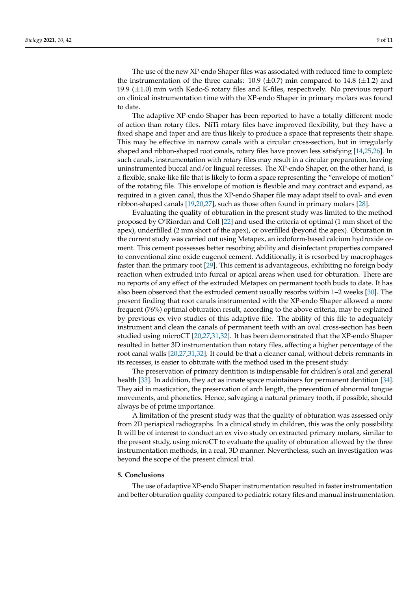The use of the new XP-endo Shaper files was associated with reduced time to complete the instrumentation of the three canals:  $10.9 \ (\pm 0.7)$  min compared to 14.8 ( $\pm 1.2$ ) and 19.9  $(\pm 1.0)$  min with Kedo-S rotary files and K-files, respectively. No previous report on clinical instrumentation time with the XP-endo Shaper in primary molars was found to date.

The adaptive XP-endo Shaper has been reported to have a totally different mode of action than rotary files. NiTi rotary files have improved flexibility, but they have a fixed shape and taper and are thus likely to produce a space that represents their shape. This may be effective in narrow canals with a circular cross-section, but in irregularly shaped and ribbon-shaped root canals, rotary files have proven less satisfying [14,25,26]. In such canals, instrumentation with rotary files may result in a circular preparation, leaving uninstrumented buccal and/or lingual recesses. The XP-endo Shaper, on the other hand, is a flexible, snake-like file that is likely to form a space representing the "envelope of motion" of the rotating file. This envelope of motion is flexible and may contract and expand, as required in a given canal, thus the XP-endo Shaper file may adapt itself to oval- and even ribbon-shaped canals [19,20,27], such as those often found in primary molars [28].

Evaluating the quality of obturation in the present study was limited to the method proposed by O'Riordan and Coll [22] and used the criteria of optimal (1 mm short of the apex), underfilled (2 mm short of the apex), or overfilled (beyond the apex). Obturation in the current study was carried out using Metapex, an iodoform-based calcium hydroxide cement. This cement possesses better resorbing ability and disinfectant properties compared to conventional zinc oxide eugenol cement. Additionally, it is resorbed by macrophages faster than the primary root [29]. This cement is advantageous, exhibiting no foreign body reaction when extruded into furcal or apical areas when used for obturation. There are no reports of any effect of the extruded Metapex on permanent tooth buds to date. It has also been observed that the extruded cement usually resorbs within 1–2 weeks [30]. The present finding that root canals instrumented with the XP-endo Shaper allowed a more frequent (76%) optimal obturation result, according to the above criteria, may be explained by previous ex vivo studies of this adaptive file. The ability of this file to adequately instrument and clean the canals of permanent teeth with an oval cross-section has been studied using microCT [20,27,31,32]. It has been demonstrated that the XP-endo Shaper resulted in better 3D instrumentation than rotary files, affecting a higher percentage of the root canal walls [20,27,31,32]. It could be that a cleaner canal, without debris remnants in its recesses, is easier to obturate with the method used in the present study.

The preservation of primary dentition is indispensable for children's oral and general health [33]. In addition, they act as innate space maintainers for permanent dentition [34]. They aid in mastication, the preservation of arch length, the prevention of abnormal tongue movements, and phonetics. Hence, salvaging a natural primary tooth, if possible, should always be of prime importance.

A limitation of the present study was that the quality of obturation was assessed only from 2D periapical radiographs. In a clinical study in children, this was the only possibility. It will be of interest to conduct an ex vivo study on extracted primary molars, similar to the present study, using microCT to evaluate the quality of obturation allowed by the three instrumentation methods, in a real, 3D manner. Nevertheless, such an investigation was beyond the scope of the present clinical trial.

# **5. Conclusions**

The use of adaptive XP-endo Shaper instrumentation resulted in faster instrumentation and better obturation quality compared to pediatric rotary files and manual instrumentation.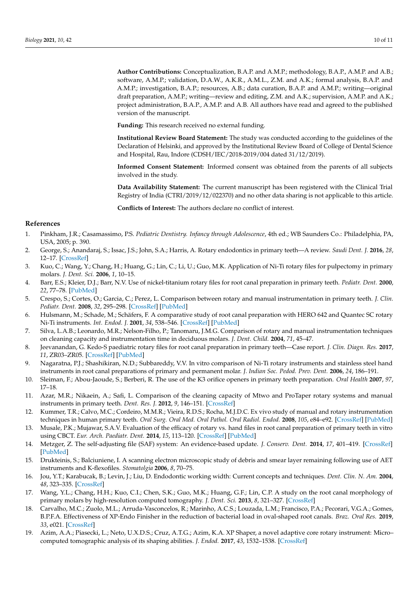**Author Contributions:** Conceptualization, B.A.P. and A.M.P.; methodology, B.A.P., A.M.P. and A.B.; software, A.M.P.; validation, D.A.W., A.K.R., A.M.L., Z.M. and A.K.; formal analysis, B.A.P. and A.M.P.; investigation, B.A.P.; resources, A.B.; data curation, B.A.P. and A.M.P.; writing—original draft preparation, A.M.P.; writing—review and editing, Z.M. and A.K.; supervision, A.M.P. and A.K.; project administration, B.A.P., A.M.P. and A.B. All authors have read and agreed to the published version of the manuscript.

**Funding:** This research received no external funding.

**Institutional Review Board Statement:** The study was conducted according to the guidelines of the Declaration of Helsinki, and approved by the Institutional Review Board of College of Dental Science and Hospital, Rau, Indore (CDSH/IEC/2018-2019/004 dated 31/12/2019).

**Informed Consent Statement:** Informed consent was obtained from the parents of all subjects involved in the study.

**Data Availability Statement:** The current manuscript has been registered with the Clinical Trial Registry of India (CTRI/2019/12/022370) and no other data sharing is not applicable to this article.

**Conflicts of Interest:** The authors declare no conflict of interest.

## **References**

- 1. Pinkham, J.R.; Casamassimo, P.S. *Pediatric Dentistry. Infancy through Adolescence*, 4th ed.; WB Saunders Co.: Philadelphia, PA, USA, 2005; p. 390.
- 2. George, S.; Anandaraj, S.; Issac, J.S.; John, S.A.; Harris, A. Rotary endodontics in primary teeth—A review. *Saudi Dent. J.* **2016**, *28*, 12–17. [CrossRef]
- 3. Kuo, C.; Wang, Y.; Chang, H.; Huang, G.; Lin, C.; Li, U.; Guo, M.K. Application of Ni-Ti rotary files for pulpectomy in primary molars. *J. Dent. Sci.* **2006**, *1*, 10–15.
- 4. Barr, E.S.; Kleier, D.J.; Barr, N.V. Use of nickel-titanium rotary files for root canal preparation in primary teeth. *Pediatr. Dent.* **2000**, *22*, 77–78. [PubMed]
- 5. Crespo, S.; Cortes, O.; Garcia, C.; Perez, L. Comparison between rotary and manual instrumentation in primary teeth. *J. Clin. Pediatr. Dent.* **2008**, *32*, 295–298. [CrossRef] [PubMed]
- 6. Hulsmann, M.; Schade, M.; Schäfers, F. A comparative study of root canal preparation with HERO 642 and Quantec SC rotary Ni-Ti instruments. *Int. Endod. J.* **2001**, *34*, 538–546. [CrossRef] [PubMed]
- 7. Silva, L.A.B.; Leonardo, M.R.; Nelson-Filho, P.; Tanomaru, J.M.G. Comparison of rotary and manual instrumentation techniques on cleaning capacity and instrumentation time in deciduous molars. *J. Dent. Child.* **2004**, *71*, 45–47.
- 8. Jeevanandan, G. Kedo-S paediatric rotary files for root canal preparation in primary teeth—Case report. *J. Clin. Diagn. Res.* **2017**, *11*, ZR03–ZR05. [CrossRef] [PubMed]
- 9. Nagaratna, P.J.; Shashikiran, N.D.; Subbareddy, V.V. In vitro comparison of Ni-Ti rotary instruments and stainless steel hand instruments in root canal preparations of primary and permanent molar. *J. Indian Soc. Pedod. Prev. Dent.* **2006**, *24*, 186–191.
- 10. Sleiman, F.; Abou-Jaoude, S.; Berberi, R. The use of the K3 orifice openers in primary teeth preparation. *Oral Health* **2007**, *97*, 17–18.
- 11. Azar, M.R.; Nikaein, A.; Safi, L. Comparison of the cleaning capacity of Mtwo and ProTaper rotary systems and manual instruments in primary teeth. *Dent. Res. J.* **2012**, *9*, 146–151. [CrossRef]
- 12. Kummer, T.R.; Calvo, M.C.; Cordeiro, M.M.R.; Vieira, R.D.S.; Rocha, M.J.D.C. Ex vivo study of manual and rotary instrumentation techniques in human primary teeth. *Oral Surg. Oral Med. Oral Pathol. Oral Radiol. Endod.* **2008**, *105*, e84–e92. [CrossRef] [PubMed]
- 13. Musale, P.K.; Mujawar, S.A.V. Evaluation of the efficacy of rotary vs. hand files in root canal preparation of primary teeth in vitro using CBCT. *Eur. Arch. Paediatr. Dent.* **2014**, *15*, 113–120. [CrossRef] [PubMed]
- 14. Metzger, Z. The self-adjusting file (SAF) system: An evidence-based update. *J. Conserv. Dent.* **2014**, *17*, 401–419. [CrossRef] [PubMed]
- 15. Drukteinis, S.; Balciuniene, I. A scanning electron microscopic study of debris and smear layer remaining following use of AET instruments and K-flexofiles. *Stomatolgia* **2006**, *8*, 70–75.
- 16. Jou, Y.T.; Karabucak, B.; Levin, J.; Liu, D. Endodontic working width: Current concepts and techniques. *Dent. Clin. N. Am.* **2004**, *48*, 323–335. [CrossRef]
- 17. Wang, Y.L.; Chang, H.H.; Kuo, C.I.; Chen, S.K.; Guo, M.K.; Huang, G.F.; Lin, C.P. A study on the root canal morphology of primary molars by high-resolution computed tomography. *J. Dent. Sci.* **2013**, *8*, 321–327. [CrossRef]
- 18. Carvalho, M.C.; Zuolo, M.L.; Arruda-Vasconcelos, R.; Marinho, A.C.S.; Louzada, L.M.; Francisco, P.A.; Pecorari, V.G.A.; Gomes, B.P.F.A. Effectiveness of XP-Endo Finisher in the reduction of bacterial load in oval-shaped root canals. *Braz. Oral Res.* **2019**, *33*, e021. [CrossRef]
- 19. Azim, A.A.; Piasecki, L.; Neto, U.X.D.S.; Cruz, A.T.G.; Azim, K.A. XP Shaper, a novel adaptive core rotary instrument: Micro– computed tomographic analysis of its shaping abilities. *J. Endod.* **2017**, *43*, 1532–1538. [CrossRef]